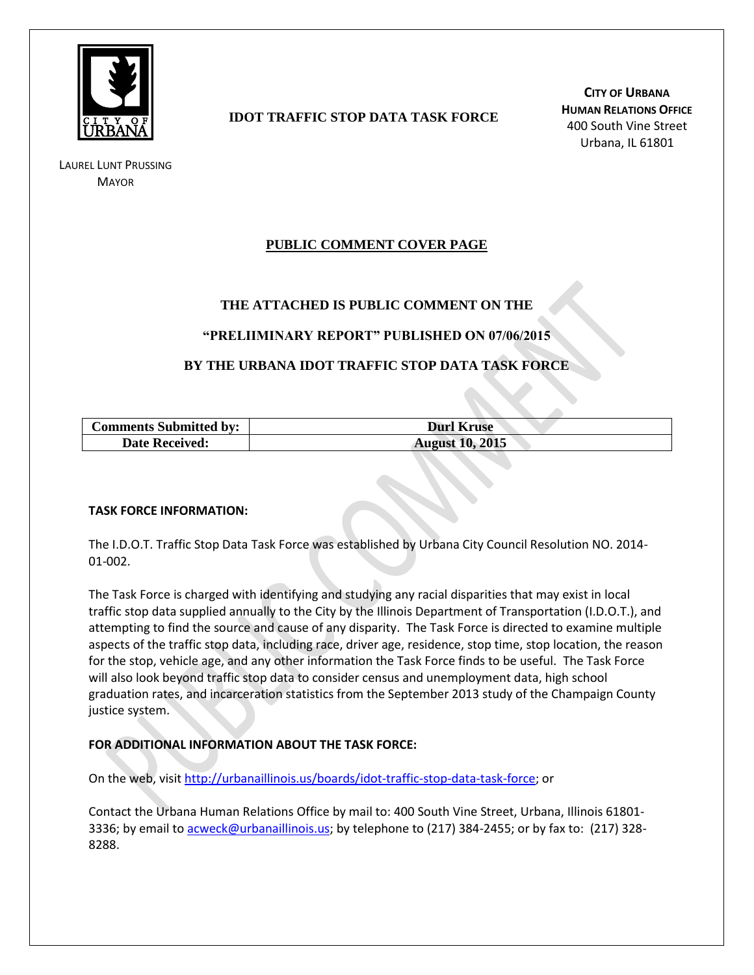

LAUREL LUNT PRUSSING **MAYOR** 

# **IDOT TRAFFIC STOP DATA TASK FORCE**

**CITY OF URBANA HUMAN RELATIONS OFFICE** 400 South Vine Street Urbana, IL 61801

# **PUBLIC COMMENT COVER PAGE**

## **THE ATTACHED IS PUBLIC COMMENT ON THE**

### **"PRELIIMINARY REPORT" PUBLISHED ON 07/06/2015**

## **BY THE URBANA IDOT TRAFFIC STOP DATA TASK FORCE**

| <b>Comments Submitted by:</b> | <b>Durl Kruse</b>      |
|-------------------------------|------------------------|
| <b>Date Received:</b>         | <b>August 10, 2015</b> |

#### **TASK FORCE INFORMATION:**

The I.D.O.T. Traffic Stop Data Task Force was established by Urbana City Council Resolution NO. 2014- 01-002.

The Task Force is charged with identifying and studying any racial disparities that may exist in local traffic stop data supplied annually to the City by the Illinois Department of Transportation (I.D.O.T.), and attempting to find the source and cause of any disparity. The Task Force is directed to examine multiple aspects of the traffic stop data, including race, driver age, residence, stop time, stop location, the reason for the stop, vehicle age, and any other information the Task Force finds to be useful. The Task Force will also look beyond traffic stop data to consider census and unemployment data, high school graduation rates, and incarceration statistics from the September 2013 study of the Champaign County justice system.

### **FOR ADDITIONAL INFORMATION ABOUT THE TASK FORCE:**

On the web, visit [http://urbanaillinois.us/boards/idot-traffic-stop-data-task-force;](http://urbanaillinois.us/boards/idot-traffic-stop-data-task-force) or

Contact the Urbana Human Relations Office by mail to: 400 South Vine Street, Urbana, Illinois 61801 3336; by email to [acweck@urbanaillinois.us;](mailto:acweck@urbanaillinois.us) by telephone to (217) 384-2455; or by fax to: (217) 328-8288.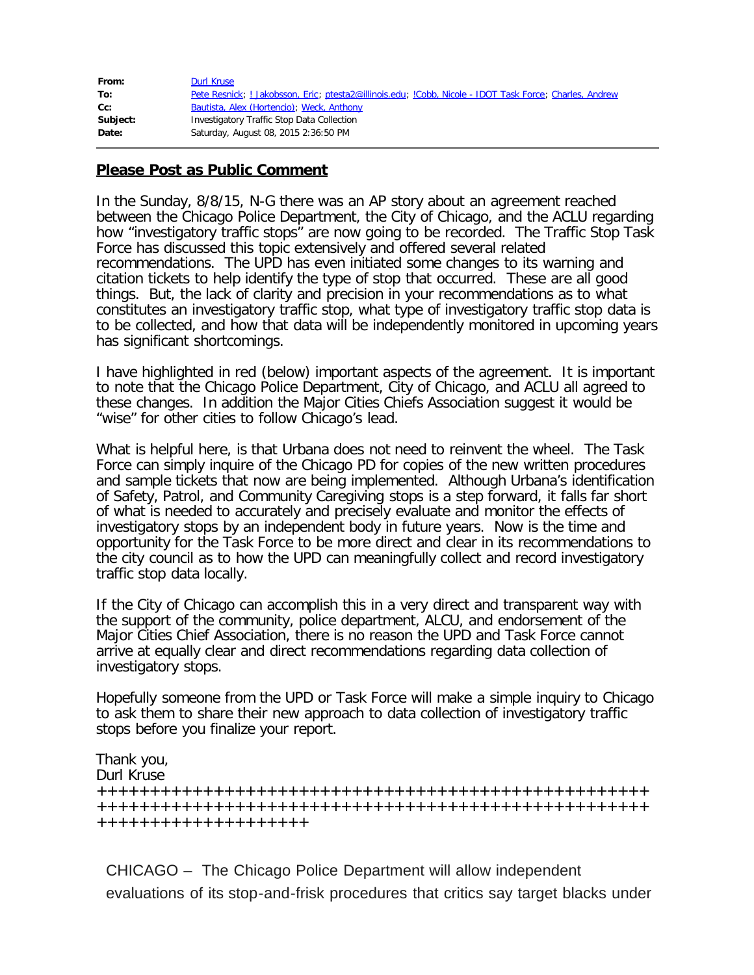| From:    | <b>Durl Kruse</b>                                                                                     |
|----------|-------------------------------------------------------------------------------------------------------|
| To:      | Pete Resnick; Jakobsson, Eric; ptesta2@illinois.edu; !Cobb, Nicole - IDOT Task Force; Charles, Andrew |
| Cc:      | Bautista, Alex (Hortencio); Weck, Anthony                                                             |
| Subject: | Investigatory Traffic Stop Data Collection                                                            |
| Date:    | Saturday, August 08, 2015 2:36:50 PM                                                                  |

# **Please Post as Public Comment**

In the Sunday, 8/8/15, N-G there was an AP story about an agreement reached between the Chicago Police Department, the City of Chicago, and the ACLU regarding how "investigatory traffic stops" are now going to be recorded. The Traffic Stop Task Force has discussed this topic extensively and offered several related recommendations. The UPD has even initiated some changes to its warning and citation tickets to help identify the type of stop that occurred. These are all good things. But, the lack of clarity and precision in your recommendations as to what constitutes an investigatory traffic stop, what type of investigatory traffic stop data is to be collected, and how that data will be independently monitored in upcoming years has significant shortcomings.

I have highlighted in red (below) important aspects of the agreement. It is important to note that the Chicago Police Department, City of Chicago, and ACLU all agreed to these changes. In addition the Major Cities Chiefs Association suggest it would be "wise" for other cities to follow Chicago's lead.

What is helpful here, is that Urbana does not need to reinvent the wheel. The Task Force can simply inquire of the Chicago PD for copies of the new written procedures and sample tickets that now are being implemented. Although Urbana's identification of Safety, Patrol, and Community Caregiving stops is a step forward, it falls far short of what is needed to accurately and precisely evaluate and monitor the effects of investigatory stops by an independent body in future years. Now is the time and opportunity for the Task Force to be more direct and clear in its recommendations to the city council as to how the UPD can meaningfully collect and record investigatory traffic stop data locally.

If the City of Chicago can accomplish this in a very direct and transparent way with the support of the community, police department, ALCU, and endorsement of the Major Cities Chief Association, there is no reason the UPD and Task Force cannot arrive at equally clear and direct recommendations regarding data collection of investigatory stops.

Hopefully someone from the UPD or Task Force will make a simple inquiry to Chicago to ask them to share their new approach to data collection of investigatory traffic stops before you finalize your report.

Thank you, Durl Kruse ++++++++++++++++++++++++++++++++++++++++++++++++++++ ++++++++++++++++++++++++++++++++++++++++++++++++++++ ++++++++++++++++++++

CHICAGO – The Chicago Police Department will allow independent evaluations of its stop-and-frisk procedures that critics say target blacks under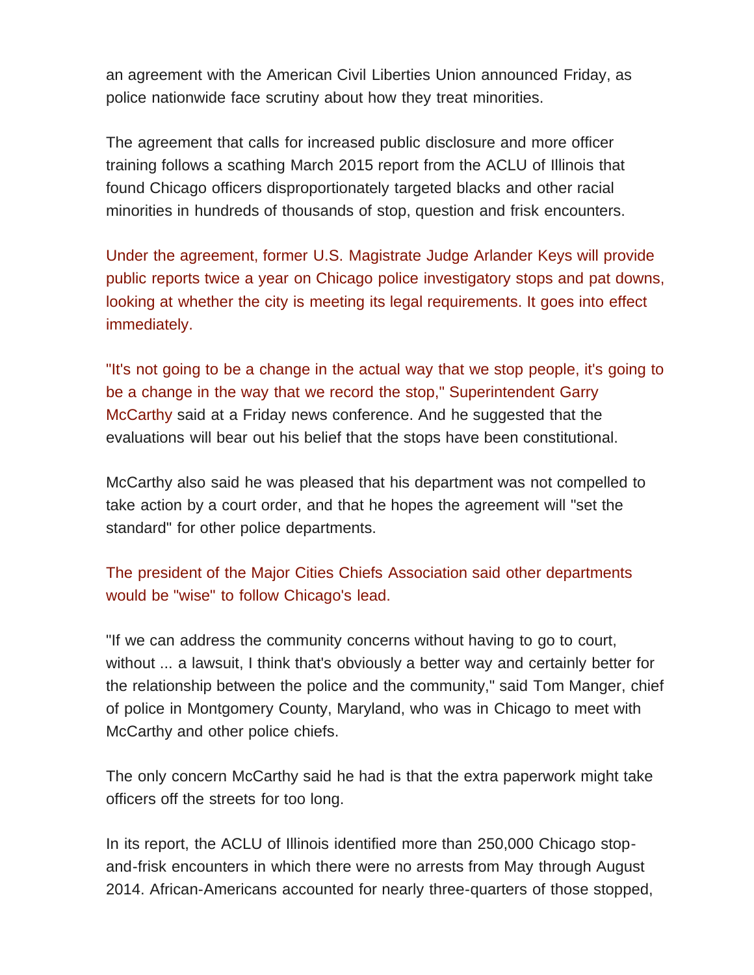an agreement with the American Civil Liberties Union announced Friday, as police nationwide face scrutiny about how they treat minorities.

The agreement that calls for increased public disclosure and more officer training follows a scathing March 2015 report from the ACLU of Illinois that found Chicago officers disproportionately targeted blacks and other racial minorities in hundreds of thousands of stop, question and frisk encounters.

Under the agreement, former U.S. Magistrate Judge Arlander Keys will provide public reports twice a year on Chicago police investigatory stops and pat downs, looking at whether the city is meeting its legal requirements. It goes into effect immediately.

"It's not going to be a change in the actual way that we stop people, it's going to be a change in the way that we record the stop," Superintendent Garry McCarthy said at a Friday news conference. And he suggested that the evaluations will bear out his belief that the stops have been constitutional.

McCarthy also said he was pleased that his department was not compelled to take action by a court order, and that he hopes the agreement will "set the standard" for other police departments.

The president of the Major Cities Chiefs Association said other departments would be "wise" to follow Chicago's lead.

"If we can address the community concerns without having to go to court, without ... a lawsuit, I think that's obviously a better way and certainly better for the relationship between the police and the community," said Tom Manger, chief of police in Montgomery County, Maryland, who was in Chicago to meet with McCarthy and other police chiefs.

The only concern McCarthy said he had is that the extra paperwork might take officers off the streets for too long.

In its report, the ACLU of Illinois identified more than 250,000 Chicago stopand-frisk encounters in which there were no arrests from May through August 2014. African-Americans accounted for nearly three-quarters of those stopped,